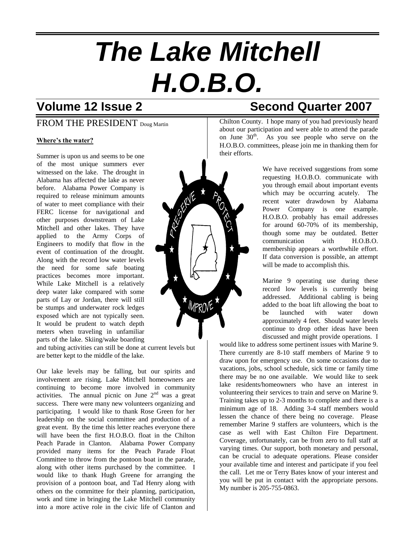# *The Lake Mitchell H.O.B.O.*

### FROM THE PRESIDENT Doug Martin

#### **Where's the water?**

Summer is upon us and seems to be one of the most unique summers ever witnessed on the lake. The drought in Alabama has affected the lake as never before. Alabama Power Company is required to release minimum amounts of water to meet compliance with their FERC license for navigational and other purposes downstream of Lake Mitchell and other lakes. They have applied to the Army Corps of Engineers to modify that flow in the event of continuation of the drought. Along with the record low water levels the need for some safe boating practices becomes more important. While Lake Mitchell is a relatively deep water lake compared with some parts of Lay or Jordan, there will still be stumps and underwater rock ledges exposed which are not typically seen. It would be prudent to watch depth meters when traveling in unfamiliar parts of the lake. Skiing/wake boarding

and tubing activities can still be done at current levels but are better kept to the middle of the lake.

Our lake levels may be falling, but our spirits and involvement are rising. Lake Mitchell homeowners are continuing to become more involved in community activities. The annual picnic on June  $2<sup>nd</sup>$  was a great success. There were many new volunteers organizing and participating. I would like to thank Rose Green for her leadership on the social committee and production of a great event. By the time this letter reaches everyone there will have been the first H.O.B.O. float in the Chilton Peach Parade in Clanton. Alabama Power Company provided many items for the Peach Parade Float Committee to throw from the pontoon boat in the parade, along with other items purchased by the committee. I would like to thank Hugh Greene for arranging the provision of a pontoon boat, and Tad Henry along with others on the committee for their planning, participation, work and time in bringing the Lake Mitchell community into a more active role in the civic life of Clanton and



## **Volume 12 Issue 2 Second Quarter 2007**

Chilton County. I hope many of you had previously heard about our participation and were able to attend the parade on June  $30<sup>th</sup>$ . As you see people who serve on the H.O.B.O. committees, please join me in thanking them for their efforts.

> We have received suggestions from some requesting H.O.B.O. communicate with you through email about important events which may be occurring acutely. The recent water drawdown by Alabama Power Company is one example. H.O.B.O. probably has email addresses for around 60-70% of its membership, though some may be outdated. Better communication with H.O.B.O. membership appears a worthwhile effort. If data conversion is possible, an attempt will be made to accomplish this.

> Marine 9 operating use during these record low levels is currently being addressed. Additional cabling is being added to the boat lift allowing the boat to be launched with water down approximately 4 feet. Should water levels continue to drop other ideas have been discussed and might provide operations. I

would like to address some pertinent issues with Marine 9. There currently are 8-10 staff members of Marine 9 to draw upon for emergency use. On some occasions due to vacations, jobs, school schedule, sick time or family time there may be no one available. We would like to seek lake residents/homeowners who have an interest in volunteering their services to train and serve on Marine 9. Training takes up to 2-3 months to complete and there is a minimum age of 18. Adding 3-4 staff members would lessen the chance of there being no coverage. Please remember Marine 9 staffers are volunteers, which is the case as well with East Chilton Fire Department. Coverage, unfortunately, can be from zero to full staff at varying times. Our support, both monetary and personal, can be crucial to adequate operations. Please consider your available time and interest and participate if you feel the call. Let me or Terry Bates know of your interest and you will be put in contact with the appropriate persons. My number is 205-755-0863.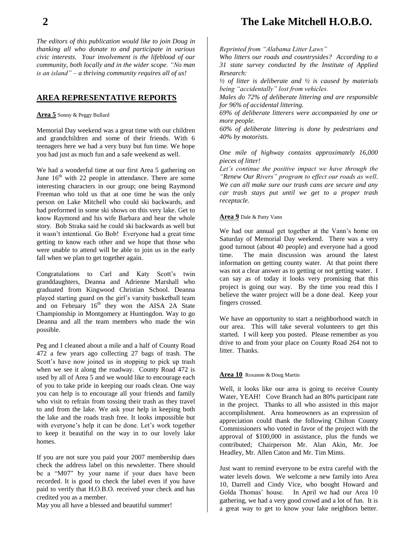*The editors of this publication would like to join Doug in thanking all who donate to and participate in various civic interests. Your involvement is the lifeblood of our community, both locally and in the wider scope. "No man is an island" – a thriving community requires all of us!*

#### **AREA REPRESENTATIVE REPORTS**

**Area 5** Sonny & Peggy Bullard

Memorial Day weekend was a great time with our children and grandchildren and some of their friends. With 6 teenagers here we had a very busy but fun time. We hope you had just as much fun and a safe weekend as well.

We had a wonderful time at our first Area 5 gathering on June  $16<sup>th</sup>$  with 22 people in attendance. There are some interesting characters in our group; one being Raymond Freeman who told us that at one time he was the only person on Lake Mitchell who could ski backwards, and had preformed in some ski shows on this very lake. Get to know Raymond and his wife Barbara and hear the whole story. Bob Straka said he could ski backwards as well but it wasn't intentional. Go Bob! Everyone had a great time getting to know each other and we hope that those who were unable to attend will be able to join us in the early fall when we plan to get together again.

Congratulations to Carl and Katy Scott's twin granddaughters, Deanna and Adrienne Marshall who graduated from Kingwood Christian School. Deanna played starting guard on the girl's varsity basketball team and on February  $16<sup>th</sup>$  they won the AISA 2A State Championship in Montgomery at Huntingdon. Way to go Deanna and all the team members who made the win possible.

Peg and I cleaned about a mile and a half of County Road 472 a few years ago collecting 27 bags of trash. The Scott's have now joined us in stopping to pick up trash when we see it along the roadway. County Road 472 is used by all of Area 5 and we would like to encourage each of you to take pride in keeping our roads clean. One way you can help is to encourage all your friends and family who visit to refrain from tossing their trash as they travel to and from the lake. We ask your help in keeping both the lake and the roads trash free. It looks impossible but with everyone's help it can be done. Let's work together to keep it beautiful on the way in to our lovely lake homes.

If you are not sure you paid your 2007 membership dues check the address label on this newsletter. There should be a "M07" by your name if your dues have been recorded. It is good to check the label even if you have paid to verify that H.O.B.O. received your check and has credited you as a member.

May you all have a blessed and beautiful summer!

## **2 The Lake Mitchell H.O.B.O.**

*Reprinted from "Alabama Litter Laws"*

*Who litters our roads and countrysides? According to a 31 state survey conducted by the Institute of Applied Research:*

*½ of litter is deliberate and ½ is caused by materials being "accidentally" lost from vehicles.*

*Males do 72% of deliberate littering and are responsible for 96% of accidental littering.*

*69% of deliberate litterers were accompanied by one or more people.*

*60% of deliberate littering is done by pedestrians and 40% by motorists.*

*One mile of highway contains approximately 16,000 pieces of litter!*

*Let's continue the positive impact we have through the "Renew Our Rivers" program to effect our roads as well. We can all make sure our trash cans are secure and any car trash stays put until we get to a proper trash receptacle.*

#### **Area 9** Dale & Patty Vann

We had our annual get together at the Vann's home on Saturday of Memorial Day weekend. There was a very good turnout (about 40 people) and everyone had a good time. The main discussion was around the latest information on getting county water. At that point there was not a clear answer as to getting or not getting water. I can say as of today it looks very promising that this project is going our way. By the time you read this I believe the water project will be a done deal. Keep your fingers crossed.

We have an opportunity to start a neighborhood watch in our area. This will take several volunteers to get this started. I will keep you posted. Please remember as you drive to and from your place on County Road 264 not to litter. Thanks.

#### **Area 10** Roxanne & Doug Martin

Well, it looks like our area is going to receive County Water, YEAH! Cove Branch had an 80% participant rate in the project. Thanks to all who assisted in this major accomplishment. Area homeowners as an expression of appreciation could thank the following Chilton County Commissioners who voted in favor of the project with the approval of \$100,000 in assistance, plus the funds we contributed; Chairperson Mr. Alan Akin, Mr. Joe Headley, Mr. Allen Caton and Mr. Tim Mims.

Just want to remind everyone to be extra careful with the water levels down. We welcome a new family into Area 10, Darrell and Cindy Vice, who bought Howard and Golda Thomas' house. In April we had our Area 10 gathering, we had a very good crowd and a lot of fun. It is a great way to get to know your lake neighbors better.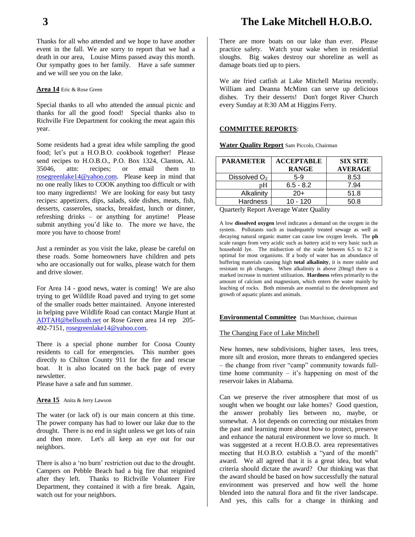Thanks for all who attended and we hope to have another event in the fall. We are sorry to report that we had a death in our area, Louise Mims passed away this month. Our sympathy goes to her family. Have a safe summer and we will see you on the lake.

#### **Area 14** Eric & Rose Green

Special thanks to all who attended the annual picnic and thanks for all the good food! Special thanks also to Richville Fire Department for cooking the meat again this year.

Some residents had a great idea while sampling the good food; let's put a H.O.B.O. cookbook together! Please send recipes to H.O.B.O., P.O. Box 1324, Clanton, Al. 35046, attn: recipes; or email them to [rosegreenlake14@yahoo.com.](mailto:rosegreenlake14@yahoo.com) Please keep in mind that no one really likes to COOK anything too difficult or with too many ingredients! We are looking for easy but tasty recipes: appetizers, dips, salads, side dishes, meats, fish, desserts, casseroles, snacks, breakfast, lunch or dinner, refreshing drinks – or anything for anytime! Please submit anything you'd like to. The more we have, the more you have to choose from!

Just a reminder as you visit the lake, please be careful on these roads. Some homeowners have children and pets who are occasionally out for walks, please watch for them and drive slower.

For Area 14 - good news, water is coming! We are also trying to get Wildlife Road paved and trying to get some of the smaller roads better maintained. Anyone interested in helping pave Wildlife Road can contact Margie Hunt at [ADTAH@bellsouth.net](mailto:ADTAH@bellsouth.net) or Rose Green area 14 rep 205- 492-7151, [rosegreenlake14@yahoo.com.](mailto:rosegreenlake14@yahoo.com)

There is a special phone number for Coosa County residents to call for emergencies. This number goes directly to Chilton County 911 for the fire and rescue boat. It is also located on the back page of every newsletter.

Please have a safe and fun summer.

#### **Area 15** Anita & Jerry Lawson

The water (or lack of) is our main concern at this time. The power company has had to lower our lake due to the drought. There is no end in sight unless we get lots of rain and then more. Let's all keep an eye out for our neighbors.

There is also a 'no burn' restriction out due to the drought. Campers on Pebble Beach had a big fire that reignited after they left. Thanks to Richville Volunteer Fire Department, they contained it with a fire break. Again, watch out for your neighbors.

There are more boats on our lake than ever. Please practice safety. Watch your wake when in residential sloughs. Big wakes destroy our shoreline as well as damage boats tied up to piers.

We ate fried catfish at Lake Mitchell Marina recently. William and Deanna McMinn can serve up delicious dishes. Try their desserts! Don't forget River Church every Sunday at 8:30 AM at Higgins Ferry.

#### **COMMITTEE REPORTS**:

| <b>PARAMETER</b>         | <b>ACCEPTABLE</b><br><b>RANGE</b> | <b>SIX SITE</b><br><b>AVERAGE</b> |
|--------------------------|-----------------------------------|-----------------------------------|
| Dissolved O <sub>2</sub> | $5-9$                             | 8.53                              |
| nН                       | $6.5 - 8.2$                       | 7.94                              |
| Alkalinity               | $20+$                             | 51.8                              |
| <b>Hardness</b>          | $10 - 120$                        | 50 R                              |

**Water Quality Report** Sam Piccolo, Chairman

Quarterly Report Average Water Quality

A low **dissolved oxygen** level indicates a demand on the oxygen in the system. Pollutants such as inadequately treated sewage as well as decaying natural organic matter can cause low oxygen levels. The **ph** scale ranges from very acidic such as battery acid to very basic such as household lye. The midsection of the scale between 6.5 to 8.2 is optimal for most organisms. If a body of water has an abundance of buffering materials causing high **total alkalinity**, it is more stable and resistant to ph changes. When alkalinity is above 20mg/l there is a marked increase in nutrient utilization**. Hardness** refers primarily to the amount of calcium and magnesium, which enters the water mainly by leaching of rocks. Both minerals are essential to the development and growth of aquatic plants and animals.

#### **Environmental Committee** Dan Murchison, chairman

#### The Changing Face of Lake Mitchell

New homes, new subdivisions, higher taxes, less trees, more silt and erosion, more threats to endangered species – the change from river "camp" community towards fulltime home community – it's happening on most of the reservoir lakes in Alabama.

Can we preserve the river atmosphere that most of us sought when we bought our lake homes? Good question, the answer probably lies between no, maybe, or somewhat. A lot depends on correcting our mistakes from the past and learning more about how to protect, preserve and enhance the natural environment we love so much. It was suggested at a recent H.O.B.O. area representatives meeting that H.O.B.O. establish a "yard of the month" award. We all agreed that it is a great idea, but what criteria should dictate the award? Our thinking was that the award should be based on how successfully the natural environment was preserved and how well the home blended into the natural flora and fit the river landscape. And yes, this calls for a change in thinking and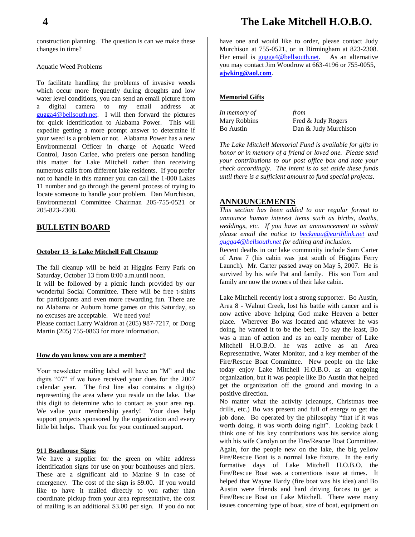## **4 The Lake Mitchell H.O.B.O.**

construction planning. The question is can we make these changes in time?

#### Aquatic Weed Problems

To facilitate handling the problems of invasive weeds which occur more frequently during droughts and low water level conditions, you can send an email picture from a digital camera to my email address at [gugga4@bellsouth.net.](mailto:gugga4@bellsouth.net) I will then forward the pictures for quick identification to Alabama Power. This will expedite getting a more prompt answer to determine if your weed is a problem or not. Alabama Power has a new Environmental Officer in charge of Aquatic Weed Control, Jason Carlee, who prefers one person handling this matter for Lake Mitchell rather than receiving numerous calls from different lake residents. If you prefer not to handle in this manner you can call the 1-800 Lakes 11 number and go through the general process of trying to locate someone to handle your problem. Dan Murchison, Environmental Committee Chairman 205-755-0521 or 205-823-2308.

#### **BULLETIN BOARD**

#### **October 13 is Lake Mitchell Fall Cleanup**

The fall cleanup will be held at Higgins Ferry Park on Saturday, October 13 from 8:00 a.m.until noon.

It will be followed by a picnic lunch provided by our wonderful Social Committee. There will be free t-shirts for participants and even more rewarding fun. There are no Alabama or Auburn home games on this Saturday, so no excuses are acceptable. We need you! Please contact Larry Waldron at (205) 987-7217, or Doug

Martin (205) 755-0863 for more information.

#### **How do you know you are a member?**

Your newsletter mailing label will have an "M" and the digits "07" if we have received your dues for the 2007 calendar year. The first line also contains a digit(s) representing the area where you reside on the lake. Use this digit to determine who to contact as your area rep. We value your membership yearly! Your dues help support projects sponsored by the organization and every little bit helps. Thank you for your continued support.

#### **911 Boathouse Signs**

We have a supplier for the green on white address identification signs for use on your boathouses and piers. These are a significant aid to Marine 9 in case of emergency. The cost of the sign is \$9.00. If you would like to have it mailed directly to you rather than coordinate pickup from your area representative, the cost of mailing is an additional \$3.00 per sign. If you do not

have one and would like to order, please contact Judy Murchison at 755-0521, or in Birmingham at 823-2308. Her email is [gugga4@bellsouth.net.](mailto:gugga4@bellsouth.net) As an alternative you may contact Jim Woodrow at 663-4196 or 755-0055, **[ajwking@aol.com](mailto:ajwking@aol.com)**.

#### **Memorial Gifts**

| In memory of | from                 |
|--------------|----------------------|
| Mary Robbins | Fred & Judy Rogers   |
| Bo Austin    | Dan & Judy Murchison |

*The Lake Mitchell Memorial Fund is available for gifts in honor or in memory of a friend or loved one. Please send your contributions to our post office box and note your check accordingly. The intent is to set aside these funds until there is a sufficient amount to fund special projects.*

#### **ANNOUNCEMENTS**

*This section has been added to our regular format to announce human interest items such as births, deaths, weddings, etc. If you have an announcement to submit please email the notice to [beckmau@earthlink.net](mailto:beckmau@earthlink.net) and [gugga4@bellsouth.net](mailto:gugga4@bellsouth.net) for editing and inclusion.*

Recent deaths in our lake community include Sam Carter of Area 7 (his cabin was just south of Higgins Ferry Launch). Mr. Carter passed away on May 5, 2007. He is survived by his wife Pat and family. His son Tom and family are now the owners of their lake cabin.

Lake Mitchell recently lost a strong supporter. Bo Austin, Area 8 - Walnut Creek, lost his battle with cancer and is now active above helping God make Heaven a better place. Wherever Bo was located and whatever he was doing, he wanted it to be the best. To say the least, Bo was a man of action and as an early member of Lake Mitchell H.O.B.O. he was active as an Area Representative, Water Monitor, and a key member of the Fire/Rescue Boat Committee. New people on the lake today enjoy Lake Mitchell H.O.B.O. as an ongoing organization, but it was people like Bo Austin that helped get the organization off the ground and moving in a positive direction.

No matter what the activity (cleanups, Christmas tree drills, etc.) Bo was present and full of energy to get the job done. Bo operated by the philosophy "that if it was worth doing, it was worth doing right". Looking back I think one of his key contributions was his service along with his wife Carolyn on the Fire/Rescue Boat Committee. Again, for the people new on the lake, the big yellow Fire/Rescue Boat is a normal lake fixture. In the early formative days of Lake Mitchell H.O.B.O. the Fire/Rescue Boat was a contentious issue at times. It helped that Wayne Hardy (fire boat was his idea) and Bo Austin were friends and hard driving forces to get a Fire/Rescue Boat on Lake Mitchell. There were many issues concerning type of boat, size of boat, equipment on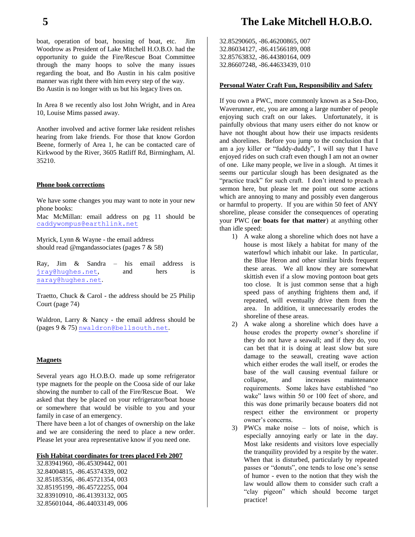boat, operation of boat, housing of boat, etc. Jim Woodrow as President of Lake Mitchell H.O.B.O. had the opportunity to guide the Fire/Rescue Boat Committee through the many hoops to solve the many issues regarding the boat, and Bo Austin in his calm positive manner was right there with him every step of the way. Bo Austin is no longer with us but his legacy lives on.

In Area 8 we recently also lost John Wright, and in Area 10, Louise Mims passed away.

Another involved and active former lake resident relishes hearing from lake friends. For those that know Gordon Beene, formerly of Area 1, he can be contacted care of Kirkwood by the River, 3605 Ratliff Rd, Birmingham, Al. 35210.

#### **Phone book corrections**

We have some changes you may want to note in your new phone books:

Mac McMillan: email address on pg 11 should be [caddywompus@earthlink.net](mailto:caddywompus@earthlink.net)

Myrick, Lynn & Wayne - the email address should read @mgandassociates (pages 7 & 58)

Ray, Jim & Sandra – his email address is [jray@hughes.net](mailto:jray@hughes.net), and hers is [saray@hughes.net](mailto:saray@hughes.net).

Traetto, Chuck & Carol - the address should be 25 Philip Court (page 74)

Waldron, Larry & Nancy - the email address should be (pages 9 & 75) [nwaldron@bellsouth.net](mailto:nwaldron@bellsouth.net).

#### **Magnets**

Several years ago H.O.B.O. made up some refrigerator type magnets for the people on the Coosa side of our lake showing the number to call of the Fire/Rescue Boat. We asked that they be placed on your refrigerator/boat house or somewhere that would be visible to you and your family in case of an emergency.

There have been a lot of changes of ownership on the lake and we are considering the need to place a new order. Please let your area representative know if you need one.

#### **Fish Habitat coordinates for trees placed Feb 2007**

32.83941960, -86.45309442, 001 32.84004815, -86.45374339, 002 32.85185356, -86.45721354, 003 32.85195199, -86.45722255, 004 32.83910910, -86.41393132, 005 32.85601044, -86.44033149, 006 32.85290605, -86.46200865, 007 32.86034127, -86.41566189, 008 32.85763832, -86.44380164, 009 32.86607248, -86.44633439, 010

#### **Personal Water Craft Fun, Responsibility and Safety**

If you own a PWC, more commonly known as a Sea-Doo, Waverunner, etc, you are among a large number of people enjoying such craft on our lakes. Unfortunately, it is painfully obvious that many users either do not know or have not thought about how their use impacts residents and shorelines. Before you jump to the conclusion that I am a joy killer or "fuddy-duddy", I will say that I have enjoyed rides on such craft even though I am not an owner of one. Like many people, we live in a slough. At times it seems our particular slough has been designated as the "practice track" for such craft. I don't intend to preach a sermon here, but please let me point out some actions which are annoying to many and possibly even dangerous or harmful to property. If you are within 50 feet of ANY shoreline, please consider the consequences of operating your PWC (**or boats for that matter**) at anything other than idle speed:

- 1) A wake along a shoreline which does not have a house is most likely a habitat for many of the waterfowl which inhabit our lake. In particular, the Blue Heron and other similar birds frequent these areas. We all know they are somewhat skittish even if a slow moving pontoon boat gets too close. It is just common sense that a high speed pass of anything frightens them and, if repeated, will eventually drive them from the area. In addition, it unnecessarily erodes the shoreline of these areas.
- 2) A wake along a shoreline which does have a house erodes the property owner's shoreline if they do not have a seawall; and if they do, you can bet that it is doing at least slow but sure damage to the seawall, creating wave action which either erodes the wall itself, or erodes the base of the wall causing eventual failure or collapse, and increases maintenance requirements. Some lakes have established "no wake" laws within 50 or 100 feet of shore, and this was done primarily because boaters did not respect either the environment or property owner's concerns.
- 3) PWCs make noise lots of noise, which is especially annoying early or late in the day. Most lake residents and visitors love especially the tranquility provided by a respite by the water. When that is disturbed, particularly by repeated passes or "donuts", one tends to lose one's sense of humor - even to the notion that they wish the law would allow them to consider such craft a "clay pigeon" which should become target practice!